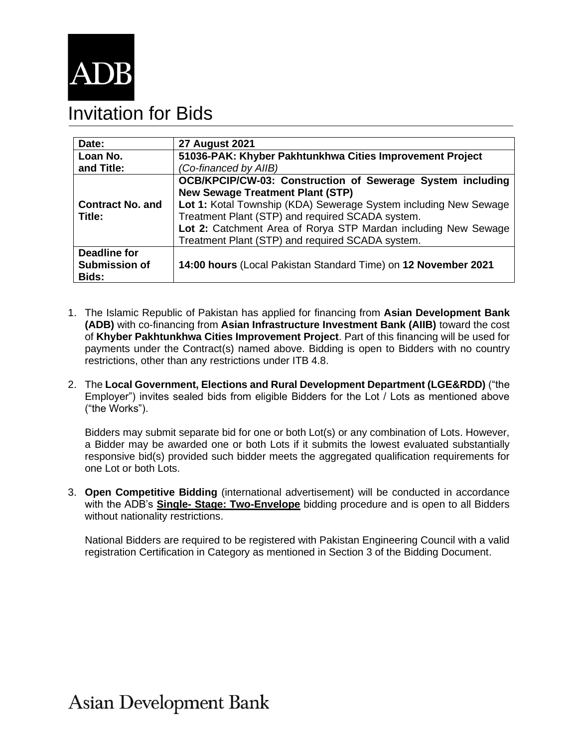

## Invitation for Bids

| Date:                   | <b>27 August 2021</b>                                            |  |  |  |
|-------------------------|------------------------------------------------------------------|--|--|--|
| Loan No.                | 51036-PAK: Khyber Pakhtunkhwa Cities Improvement Project         |  |  |  |
| and Title:              | (Co-financed by AIIB)                                            |  |  |  |
|                         | OCB/KPCIP/CW-03: Construction of Sewerage System including       |  |  |  |
|                         | <b>New Sewage Treatment Plant (STP)</b>                          |  |  |  |
| <b>Contract No. and</b> | Lot 1: Kotal Township (KDA) Sewerage System including New Sewage |  |  |  |
| Title:                  | Treatment Plant (STP) and required SCADA system.                 |  |  |  |
|                         | Lot 2: Catchment Area of Rorya STP Mardan including New Sewage   |  |  |  |
|                         | Treatment Plant (STP) and required SCADA system.                 |  |  |  |
| <b>Deadline for</b>     |                                                                  |  |  |  |
| <b>Submission of</b>    | 14:00 hours (Local Pakistan Standard Time) on 12 November 2021   |  |  |  |
| Bids:                   |                                                                  |  |  |  |

- 1. The Islamic Republic of Pakistan has applied for financing from **Asian Development Bank (ADB)** with co-financing from **Asian Infrastructure Investment Bank (AIIB)** toward the cost of **Khyber Pakhtunkhwa Cities Improvement Project**. Part of this financing will be used for payments under the Contract(s) named above. Bidding is open to Bidders with no country restrictions, other than any restrictions under ITB 4.8.
- 2. The **Local Government, Elections and Rural Development Department (LGE&RDD)** ("the Employer") invites sealed bids from eligible Bidders for the Lot / Lots as mentioned above ("the Works").

Bidders may submit separate bid for one or both Lot(s) or any combination of Lots. However, a Bidder may be awarded one or both Lots if it submits the lowest evaluated substantially responsive bid(s) provided such bidder meets the aggregated qualification requirements for one Lot or both Lots.

3. **Open Competitive Bidding** (international advertisement) will be conducted in accordance with the ADB's **Single- [Stage: Two-Envelope](https://www.adb.org/site/business-opportunities/operational-procurement/goods-services/bidding-procedures)** bidding procedure and is open to all Bidders without nationality restrictions.

National Bidders are required to be registered with Pakistan Engineering Council with a valid registration Certification in Category as mentioned in Section 3 of the Bidding Document.

**Asian Development Bank**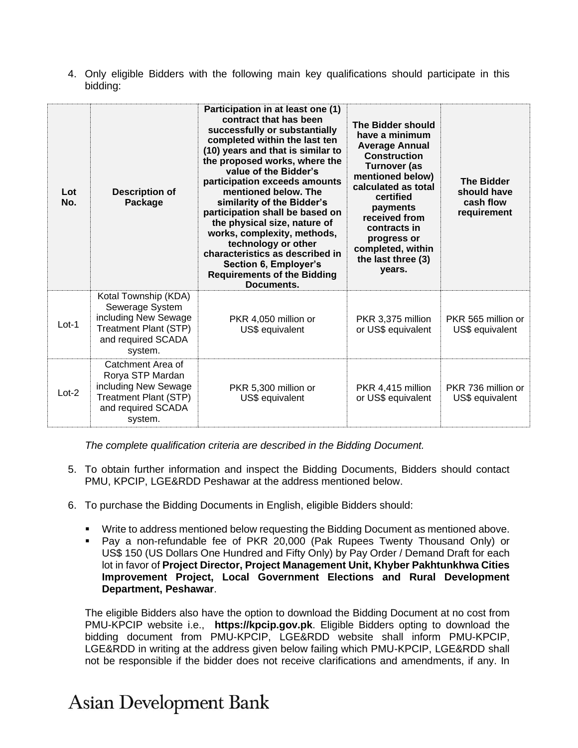4. Only eligible Bidders with the following main key qualifications should participate in this bidding:

| Lot<br>No. | <b>Description of</b><br>Package                                                                                                 | Participation in at least one (1)<br>contract that has been<br>successfully or substantially<br>completed within the last ten<br>(10) years and that is similar to<br>the proposed works, where the<br>value of the Bidder's<br>participation exceeds amounts<br>mentioned below. The<br>similarity of the Bidder's<br>participation shall be based on<br>the physical size, nature of<br>works, complexity, methods,<br>technology or other<br>characteristics as described in<br>Section 6, Employer's<br><b>Requirements of the Bidding</b><br>Documents. | The Bidder should<br>have a minimum<br><b>Average Annual</b><br><b>Construction</b><br>Turnover (as<br>mentioned below)<br>calculated as total<br>certified<br>payments<br>received from<br>contracts in<br>progress or<br>completed, within<br>the last three (3)<br>vears. | <b>The Bidder</b><br>should have<br>cash flow<br>requirement |
|------------|----------------------------------------------------------------------------------------------------------------------------------|--------------------------------------------------------------------------------------------------------------------------------------------------------------------------------------------------------------------------------------------------------------------------------------------------------------------------------------------------------------------------------------------------------------------------------------------------------------------------------------------------------------------------------------------------------------|------------------------------------------------------------------------------------------------------------------------------------------------------------------------------------------------------------------------------------------------------------------------------|--------------------------------------------------------------|
| $Lot-1$    | Kotal Township (KDA)<br>Sewerage System<br>including New Sewage<br><b>Treatment Plant (STP)</b><br>and required SCADA<br>system. | PKR 4,050 million or<br>US\$ equivalent                                                                                                                                                                                                                                                                                                                                                                                                                                                                                                                      | PKR 3,375 million<br>or US\$ equivalent                                                                                                                                                                                                                                      | PKR 565 million or<br>US\$ equivalent                        |
| $Lot-2$    | Catchment Area of<br>Rorya STP Mardan<br>including New Sewage<br><b>Treatment Plant (STP)</b><br>and required SCADA<br>system.   | PKR 5,300 million or<br>US\$ equivalent                                                                                                                                                                                                                                                                                                                                                                                                                                                                                                                      | PKR 4,415 million<br>or US\$ equivalent                                                                                                                                                                                                                                      | PKR 736 million or<br>US\$ equivalent                        |

*The complete qualification criteria are described in the Bidding Document.*

- 5. To obtain further information and inspect the Bidding Documents, Bidders should contact PMU, KPCIP, LGE&RDD Peshawar at the address mentioned below.
- 6. To purchase the Bidding Documents in English, eligible Bidders should:
	- Write to address mentioned below requesting the Bidding Document as mentioned above.
	- Pay a non-refundable fee of PKR 20,000 (Pak Rupees Twenty Thousand Only) or US\$ 150 (US Dollars One Hundred and Fifty Only) by Pay Order / Demand Draft for each lot in favor of **Project Director, Project Management Unit, Khyber Pakhtunkhwa Cities Improvement Project, Local Government Elections and Rural Development Department, Peshawar**.

The eligible Bidders also have the option to download the Bidding Document at no cost from PMU-KPCIP website i.e., **[https://kpcip.gov.pk](https://kpcip.gov.pk/)**. Eligible Bidders opting to download the bidding document from PMU-KPCIP, LGE&RDD website shall inform PMU-KPCIP, LGE&RDD in writing at the address given below failing which PMU-KPCIP, LGE&RDD shall not be responsible if the bidder does not receive clarifications and amendments, if any. In

## **Asian Development Bank**